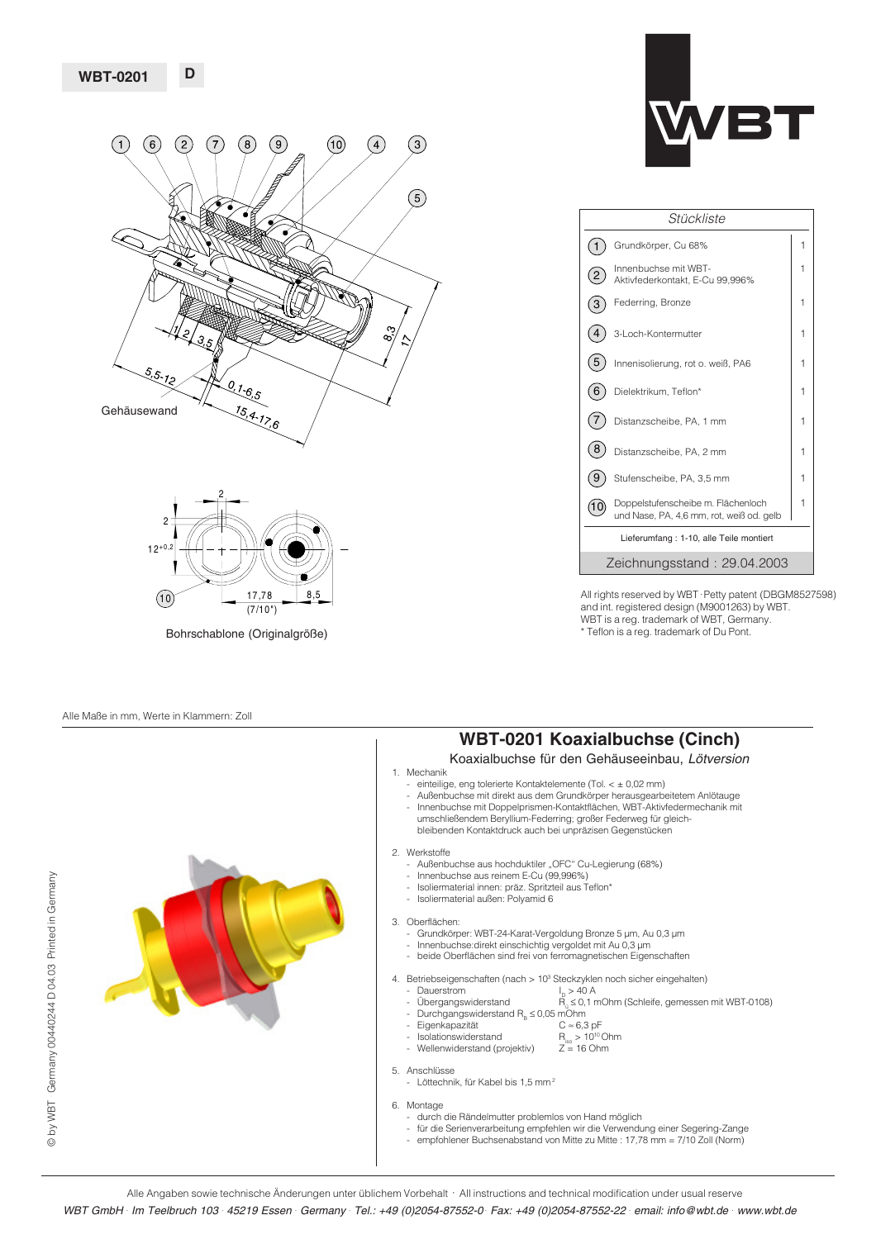**D**





Bohrschablone (Originalgröße)

#### Alle Maße in mm, Werte in Klammern: Zoll

© by WBT Germany 00440244 D 04.03 Printed in Germany by WBT . Germany 00440244 D 04.03 . Printed in Germany





| Stückliste                              |                                                                                |   |  |
|-----------------------------------------|--------------------------------------------------------------------------------|---|--|
|                                         | Grundkörper, Cu 68%                                                            | 1 |  |
|                                         | Innenbuchse mit WBT-<br>Aktivfederkontakt, E-Cu 99,996%                        | 1 |  |
|                                         | Federring, Bronze                                                              | 1 |  |
|                                         | 3-Loch-Kontermutter                                                            | 1 |  |
| 5                                       | Innenisolierung, rot o. weiß, PA6                                              | 1 |  |
| 6                                       | Dielektrikum, Teflon*                                                          | 1 |  |
|                                         | Distanzscheibe, PA, 1 mm                                                       | 1 |  |
| 8                                       | Distanzscheibe, PA, 2 mm                                                       | 1 |  |
| 9                                       | Stufenscheibe, PA, 3,5 mm                                                      | 1 |  |
|                                         | Doppelstufenscheibe m. Flächenloch<br>und Nase, PA, 4,6 mm, rot, weiß od. gelb | 1 |  |
| Lieferumfang: 1-10, alle Teile montiert |                                                                                |   |  |
| Zeichnungsstand: 29.04.2003             |                                                                                |   |  |

All rights reserved by WBT . Petty patent (DBGM8527598) and int. registered design (M9001263) by WBT. WBT is a reg. trademark of WBT, Germany. \* Teflon is a reg. trademark of Du Pont.

## **WBT-0201 Koaxialbuchse (Cinch)**

### Koaxialbuchse für den Gehäuseeinbau, Lötversion

- 1. Mechanik
	- einteilige, eng tolerierte Kontaktelemente (Tol. < ± 0,02 mm)
	- Außenbuchse mit direkt aus dem Grundkörper herausgearbeitetem Anlötauge Innenbuchse mit Doppelprismen-Kontaktflächen, WBT-Aktivfedermechanik mit umschließendem Beryllium-Federring; großer Federweg für gleich-
	- bleibenden Kontaktdruck auch bei unpräzisen Gegenstücken

#### 2. Werkstoffe

- vensione<br>- Außenbuchse aus hochduktiler "OFC" Cu-Legierung (68%)
- Innenbuchse aus reinem E-Cu (99,996%)
- Isoliermaterial innen: präz. Spritzteil aus Teflon\*
- Isoliermaterial außen: Polyamid 6
- 3. Oberflächen:
- Grundkörper: WBT-24-Karat-Vergoldung Bronze 5 µm, Au 0,3 µm - Innenbuchse:direkt einschichtig vergoldet mit Au 0,3 µm
- beide Oberflächen sind frei von ferromagnetischen Eigenschaften
- 4. Betriebseigenschaften (nach > 10<sup>3</sup> Steckzyklen noch sicher eingehalten)
- 
- Dauerstrom  $I_D > 40 A$ <br>Übergangswiderstand  $R_a \le 0, 1$  n  $\widetilde{H}_{\alpha}$  ≤ 0,1 mOhm (Schleife, gemessen mit WBT-0108)
- Durchgangswiderstand RB ≤ 0,05 mOhm Eigenkapazität C ≈ 6,3 pF
- 
- $\frac{C_1}{C_2}$ <br>Isolationswiderstand  $R_{\text{iso}} > 10^{10}$  Ohm<br>Wellenwiderstand (projektiv)  $Z = 16$  Ohm
- Wellenwiderstand (projektiv)
- 5. Anschlüsse
	- Löttechnik, für Kabel bis 1,5 mm<sup>2</sup>
- 6. Montage
	-
	- durch die Rändelmutter problemlos von Hand möglich für die Serienverarbeitung empfehlen wir die Verwendung einer Segering-Zange
	- empfohlener Buchsenabstand von Mitte zu Mitte : 17,78 mm = 7/10 Zoll (Norm)